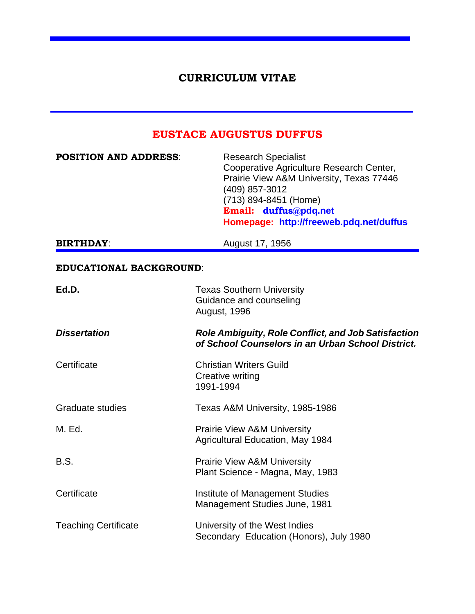## **CURRICULUM VITAE**

# **EUSTACE AUGUSTUS DUFFUS**

| <b>POSITION AND ADDRESS:</b>   | <b>Research Specialist</b><br>Cooperative Agriculture Research Center,<br>Prairie View A&M University, Texas 77446<br>(409) 857-3012<br>(713) 894-8451 (Home)<br>Email: duffus@pdq.net<br>Homepage: http://freeweb.pdq.net/duffus |
|--------------------------------|-----------------------------------------------------------------------------------------------------------------------------------------------------------------------------------------------------------------------------------|
| <b>BIRTHDAY:</b>               | August 17, 1956                                                                                                                                                                                                                   |
| <b>EDUCATIONAL BACKGROUND:</b> |                                                                                                                                                                                                                                   |
| Ed.D.                          | <b>Texas Southern University</b><br>Guidance and counseling<br>August, 1996                                                                                                                                                       |
| <b>Dissertation</b>            | <b>Role Ambiguity, Role Conflict, and Job Satisfaction</b><br>of School Counselors in an Urban School District.                                                                                                                   |
| Certificate                    | <b>Christian Writers Guild</b><br>Creative writing<br>1991-1994                                                                                                                                                                   |
| <b>Graduate studies</b>        | Texas A&M University, 1985-1986                                                                                                                                                                                                   |
| M. Ed.                         | <b>Prairie View A&amp;M University</b><br><b>Agricultural Education, May 1984</b>                                                                                                                                                 |
| B.S.                           | <b>Prairie View A&amp;M University</b><br>Plant Science - Magna, May, 1983                                                                                                                                                        |
| Certificate                    | <b>Institute of Management Studies</b><br>Management Studies June, 1981                                                                                                                                                           |
| <b>Teaching Certificate</b>    | University of the West Indies<br>Secondary Education (Honors), July 1980                                                                                                                                                          |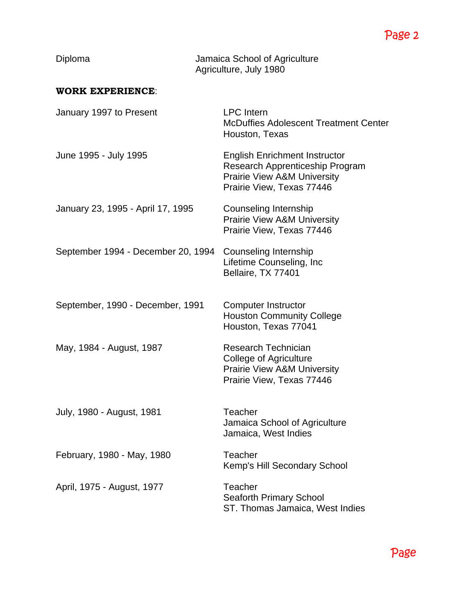| Diploma                            | Jamaica School of Agriculture<br>Agriculture, July 1980                                                                                        |
|------------------------------------|------------------------------------------------------------------------------------------------------------------------------------------------|
| <b>WORK EXPERIENCE:</b>            |                                                                                                                                                |
| January 1997 to Present            | <b>LPC</b> Intern<br><b>McDuffies Adolescent Treatment Center</b><br>Houston, Texas                                                            |
| June 1995 - July 1995              | <b>English Enrichment Instructor</b><br>Research Apprenticeship Program<br><b>Prairie View A&amp;M University</b><br>Prairie View, Texas 77446 |
| January 23, 1995 - April 17, 1995  | Counseling Internship<br><b>Prairie View A&amp;M University</b><br>Prairie View, Texas 77446                                                   |
| September 1994 - December 20, 1994 | Counseling Internship<br>Lifetime Counseling, Inc<br>Bellaire, TX 77401                                                                        |
| September, 1990 - December, 1991   | <b>Computer Instructor</b><br><b>Houston Community College</b><br>Houston, Texas 77041                                                         |
| May, 1984 - August, 1987           | <b>Research Technician</b><br><b>College of Agriculture</b><br>Prairie View A&M University<br>Prairie View, Texas 77446                        |
| July, 1980 - August, 1981          | Teacher<br>Jamaica School of Agriculture<br>Jamaica, West Indies                                                                               |
| February, 1980 - May, 1980         | Teacher<br>Kemp's Hill Secondary School                                                                                                        |
| April, 1975 - August, 1977         | Teacher<br>Seaforth Primary School<br>ST. Thomas Jamaica, West Indies                                                                          |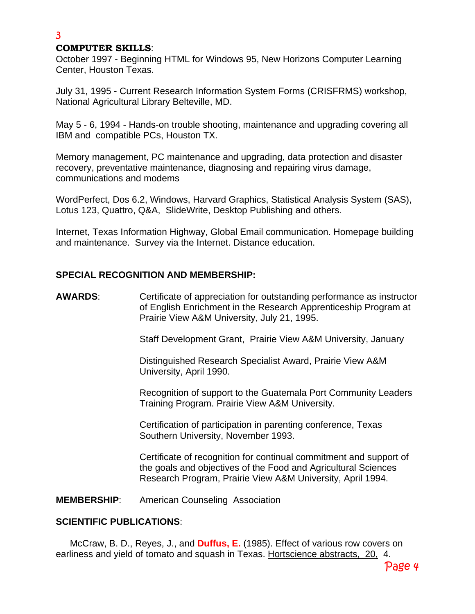### **COMPUTER SKILLS**:

3

October 1997 - Beginning HTML for Windows 95, New Horizons Computer Learning Center, Houston Texas.

July 31, 1995 - Current Research Information System Forms (CRISFRMS) workshop, National Agricultural Library Belteville, MD.

May 5 - 6, 1994 - Hands-on trouble shooting, maintenance and upgrading covering all IBM and compatible PCs, Houston TX.

Memory management, PC maintenance and upgrading, data protection and disaster recovery, preventative maintenance, diagnosing and repairing virus damage, communications and modems

WordPerfect, Dos 6.2, Windows, Harvard Graphics, Statistical Analysis System (SAS), Lotus 123, Quattro, Q&A, SlideWrite, Desktop Publishing and others.

Internet, Texas Information Highway, Global Email communication. Homepage building and maintenance. Survey via the Internet. Distance education.

### **SPECIAL RECOGNITION AND MEMBERSHIP:**

**AWARDS**: Certificate of appreciation for outstanding performance as instructor of English Enrichment in the Research Apprenticeship Program at Prairie View A&M University, July 21, 1995.

Staff Development Grant, Prairie View A&M University, January

Distinguished Research Specialist Award, Prairie View A&M University, April 1990.

Recognition of support to the Guatemala Port Community Leaders Training Program. Prairie View A&M University.

Certification of participation in parenting conference, Texas Southern University, November 1993.

Certificate of recognition for continual commitment and support of the goals and objectives of the Food and Agricultural Sciences Research Program, Prairie View A&M University, April 1994.

**MEMBERSHIP**: American Counseling Association

### **SCIENTIFIC PUBLICATIONS**:

McCraw, B. D., Reyes, J., and **Duffus, E.** (1985). Effect of various row covers on earliness and yield of tomato and squash in Texas. Hortscience abstracts, 20, 4.

Page 4